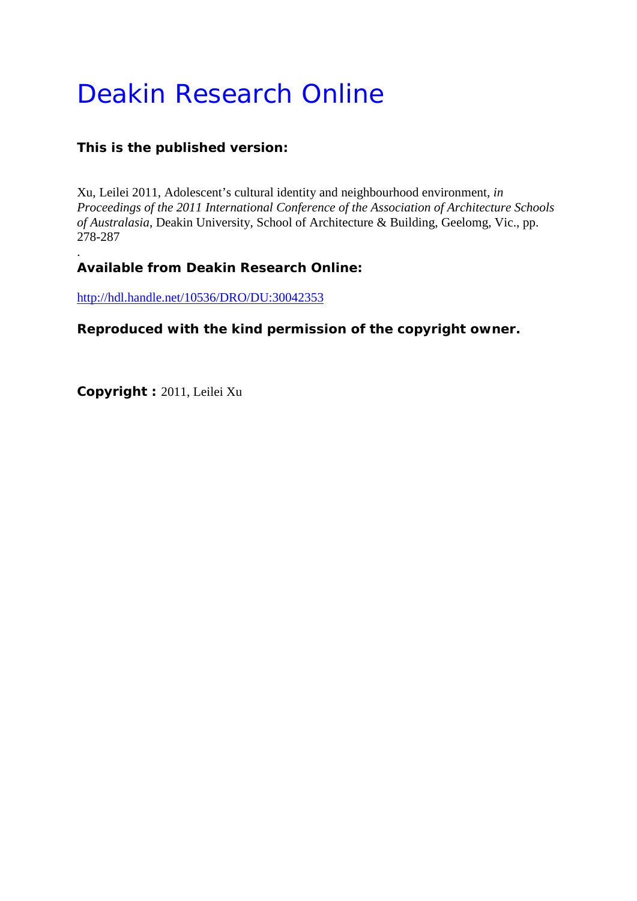# Deakin Research Online

# **This is the published version:**

Xu, Leilei 2011, Adolescent's cultural identity and neighbourhood environment*, in Proceedings of the 2011 International Conference of the Association of Architecture Schools of Australasia*, Deakin University, School of Architecture & Building, Geelomg, Vic., pp. 278-287

## . **Available from Deakin Research Online:**

<http://hdl.handle.net/10536/DRO/DU:30042353>

## **Reproduced with the kind permission of the copyright owner.**

**Copyright :** 2011, Leilei Xu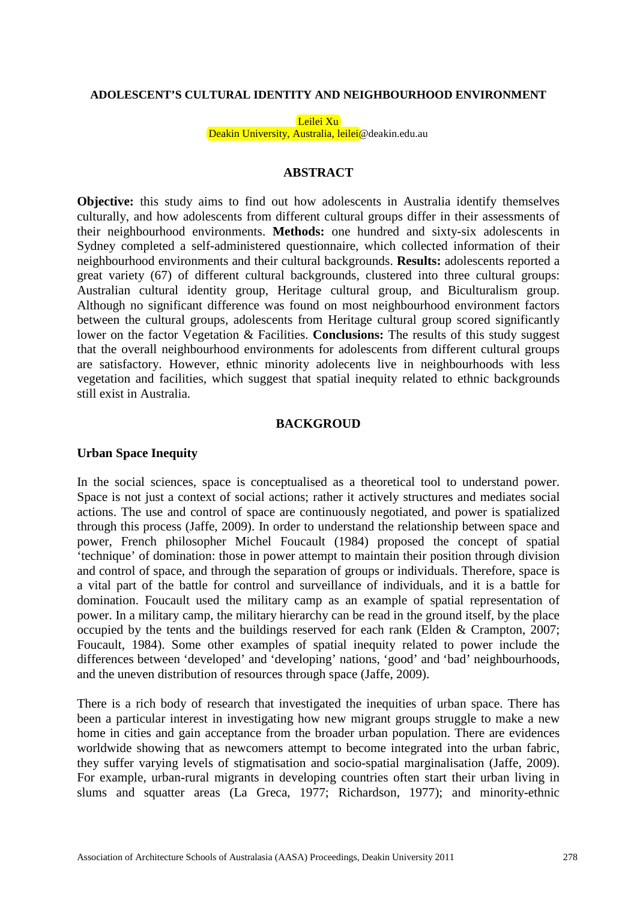#### **ADOLESCENT'S CULTURAL IDENTITY AND NEIGHBOURHOOD ENVIRONMENT**

Leilei Xu Deakin University, Australia, leilei@deakin.edu.au

## **ABSTRACT**

**Objective:** this study aims to find out how adolescents in Australia identify themselves culturally, and how adolescents from different cultural groups differ in their assessments of their neighbourhood environments. **Methods:** one hundred and sixty-six adolescents in Sydney completed a self-administered questionnaire, which collected information of their neighbourhood environments and their cultural backgrounds. **Results:** adolescents reported a great variety (67) of different cultural backgrounds, clustered into three cultural groups: Australian cultural identity group, Heritage cultural group, and Biculturalism group. Although no significant difference was found on most neighbourhood environment factors between the cultural groups, adolescents from Heritage cultural group scored significantly lower on the factor Vegetation & Facilities. **Conclusions:** The results of this study suggest that the overall neighbourhood environments for adolescents from different cultural groups are satisfactory. However, ethnic minority adolecents live in neighbourhoods with less vegetation and facilities, which suggest that spatial inequity related to ethnic backgrounds still exist in Australia.

#### **BACKGROUD**

#### **Urban Space Inequity**

In the social sciences, space is conceptualised as a theoretical tool to understand power. Space is not just a context of social actions; rather it actively structures and mediates social actions. The use and control of space are continuously negotiated, and power is spatialized through this process (Jaffe, 2009). In order to understand the relationship between space and power, French philosopher Michel Foucault (1984) proposed the concept of spatial 'technique' of domination: those in power attempt to maintain their position through division and control of space, and through the separation of groups or individuals. Therefore, space is a vital part of the battle for control and surveillance of individuals, and it is a battle for domination. Foucault used the military camp as an example of spatial representation of power. In a military camp, the military hierarchy can be read in the ground itself, by the place occupied by the tents and the buildings reserved for each rank (Elden & Crampton, 2007; Foucault, 1984). Some other examples of spatial inequity related to power include the differences between 'developed' and 'developing' nations, 'good' and 'bad' neighbourhoods, and the uneven distribution of resources through space (Jaffe, 2009).

There is a rich body of research that investigated the inequities of urban space. There has been a particular interest in investigating how new migrant groups struggle to make a new home in cities and gain acceptance from the broader urban population. There are evidences worldwide showing that as newcomers attempt to become integrated into the urban fabric, they suffer varying levels of stigmatisation and socio-spatial marginalisation (Jaffe, 2009). For example, urban-rural migrants in developing countries often start their urban living in slums and squatter areas (La Greca, 1977; Richardson, 1977); and minority-ethnic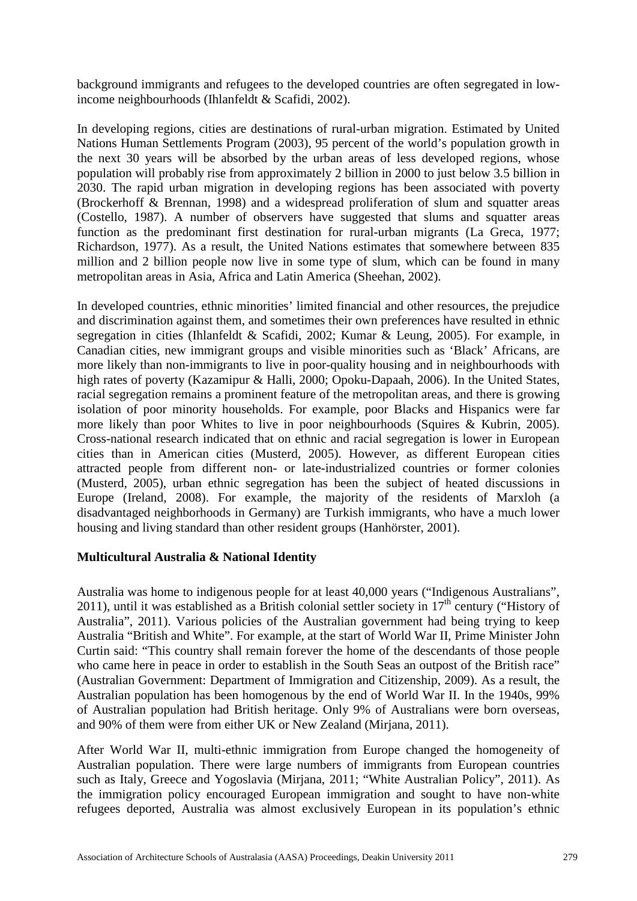background immigrants and refugees to the developed countries are often segregated in lowincome neighbourhoods (Ihlanfeldt & Scafidi, 2002).

In developing regions, cities are destinations of rural-urban migration. Estimated by United Nations Human Settlements Program (2003), 95 percent of the world's population growth in the next 30 years will be absorbed by the urban areas of less developed regions, whose population will probably rise from approximately 2 billion in 2000 to just below 3.5 billion in 2030. The rapid urban migration in developing regions has been associated with poverty (Brockerhoff & Brennan, 1998) and a widespread proliferation of slum and squatter areas (Costello, 1987). A number of observers have suggested that slums and squatter areas function as the predominant first destination for rural-urban migrants (La Greca, 1977; Richardson, 1977). As a result, the United Nations estimates that somewhere between 835 million and 2 billion people now live in some type of slum, which can be found in many metropolitan areas in Asia, Africa and Latin America (Sheehan, 2002).

In developed countries, ethnic minorities' limited financial and other resources, the prejudice and discrimination against them, and sometimes their own preferences have resulted in ethnic segregation in cities (Ihlanfeldt & Scafidi, 2002; Kumar & Leung, 2005). For example, in Canadian cities, new immigrant groups and visible minorities such as 'Black' Africans, are more likely than non-immigrants to live in poor-quality housing and in neighbourhoods with high rates of poverty (Kazamipur & Halli, 2000; Opoku-Dapaah, 2006). In the United States, racial segregation remains a prominent feature of the metropolitan areas, and there is growing isolation of poor minority households. For example, poor Blacks and Hispanics were far more likely than poor Whites to live in poor neighbourhoods (Squires & Kubrin, 2005). Cross-national research indicated that on ethnic and racial segregation is lower in European cities than in American cities (Musterd, 2005). However, as different European cities attracted people from different non- or late-industrialized countries or former colonies (Musterd, 2005), urban ethnic segregation has been the subject of heated discussions in Europe (Ireland, 2008). For example, the majority of the residents of Marxloh (a disadvantaged neighborhoods in Germany) are Turkish immigrants, who have a much lower housing and living standard than other resident groups (Hanhörster, 2001).

## **Multicultural Australia & National Identity**

Australia was home to indigenous people for at least 40,000 years ("Indigenous Australians", 2011), until it was established as a British colonial settler society in  $17<sup>th</sup>$  century ("History of Australia", 2011). Various policies of the Australian government had being trying to keep Australia "British and White". For example, at the start of World War II, Prime Minister John Curtin said: "This country shall remain forever the home of the descendants of those people who came here in peace in order to establish in the South Seas an outpost of the British race" (Australian Government: Department of Immigration and Citizenship, 2009). As a result, the Australian population has been homogenous by the end of World War II. In the 1940s, 99% of Australian population had British heritage. Only 9% of Australians were born overseas, and 90% of them were from either UK or New Zealand (Mirjana, 2011).

After World War II, multi-ethnic immigration from Europe changed the homogeneity of Australian population. There were large numbers of immigrants from European countries such as Italy, Greece and Yogoslavia (Mirjana, 2011; "White Australian Policy", 2011). As the immigration policy encouraged European immigration and sought to have non-white refugees deported, Australia was almost exclusively European in its population's ethnic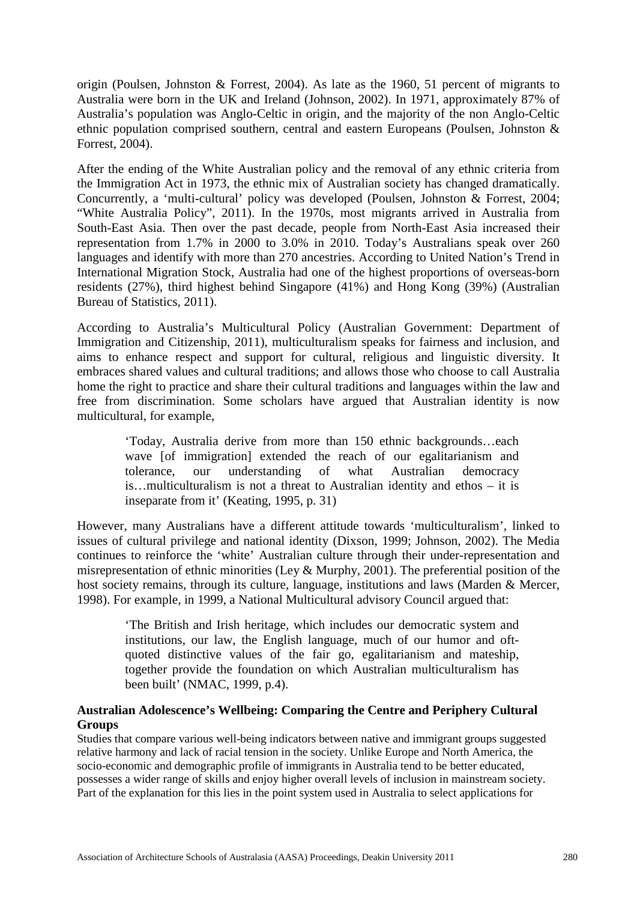origin (Poulsen, Johnston & Forrest, 2004). As late as the 1960, 51 percent of migrants to Australia were born in the UK and Ireland (Johnson, 2002). In 1971, approximately 87% of Australia's population was Anglo-Celtic in origin, and the majority of the non Anglo-Celtic ethnic population comprised southern, central and eastern Europeans (Poulsen, Johnston & Forrest, 2004).

After the ending of the White Australian policy and the removal of any ethnic criteria from the Immigration Act in 1973, the ethnic mix of Australian society has changed dramatically. Concurrently, a 'multi-cultural' policy was developed (Poulsen, Johnston & Forrest, 2004; "White Australia Policy", 2011). In the 1970s, most migrants arrived in Australia from South-East Asia. Then over the past decade, people from North-East Asia increased their representation from 1.7% in 2000 to 3.0% in 2010. Today's Australians speak over 260 languages and identify with more than 270 ancestries. According to United Nation's Trend in International Migration Stock, Australia had one of the highest proportions of overseas-born residents (27%), third highest behind Singapore (41%) and Hong Kong (39%) (Australian Bureau of Statistics, 2011).

According to Australia's Multicultural Policy (Australian Government: Department of Immigration and Citizenship, 2011), multiculturalism speaks for fairness and inclusion, and aims to enhance respect and support for cultural, religious and linguistic diversity. It embraces shared values and cultural traditions; and allows those who choose to call Australia home the right to practice and share their cultural traditions and languages within the law and free from discrimination. Some scholars have argued that Australian identity is now multicultural, for example,

'Today, Australia derive from more than 150 ethnic backgrounds…each wave [of immigration] extended the reach of our egalitarianism and tolerance, our understanding of what Australian democracy is…multiculturalism is not a threat to Australian identity and ethos – it is inseparate from it' (Keating, 1995, p. 31)

However, many Australians have a different attitude towards 'multiculturalism', linked to issues of cultural privilege and national identity (Dixson, 1999; Johnson, 2002). The Media continues to reinforce the 'white' Australian culture through their under-representation and misrepresentation of ethnic minorities (Ley & Murphy, 2001). The preferential position of the host society remains, through its culture, language, institutions and laws (Marden & Mercer, 1998). For example, in 1999, a National Multicultural advisory Council argued that:

'The British and Irish heritage, which includes our democratic system and institutions, our law, the English language, much of our humor and oftquoted distinctive values of the fair go, egalitarianism and mateship, together provide the foundation on which Australian multiculturalism has been built' (NMAC, 1999, p.4).

## **Australian Adolescence's Wellbeing: Comparing the Centre and Periphery Cultural Groups**

Studies that compare various well-being indicators between native and immigrant groups suggested relative harmony and lack of racial tension in the society. Unlike Europe and North America, the socio-economic and demographic profile of immigrants in Australia tend to be better educated, possesses a wider range of skills and enjoy higher overall levels of inclusion in mainstream society. Part of the explanation for this lies in the point system used in Australia to select applications for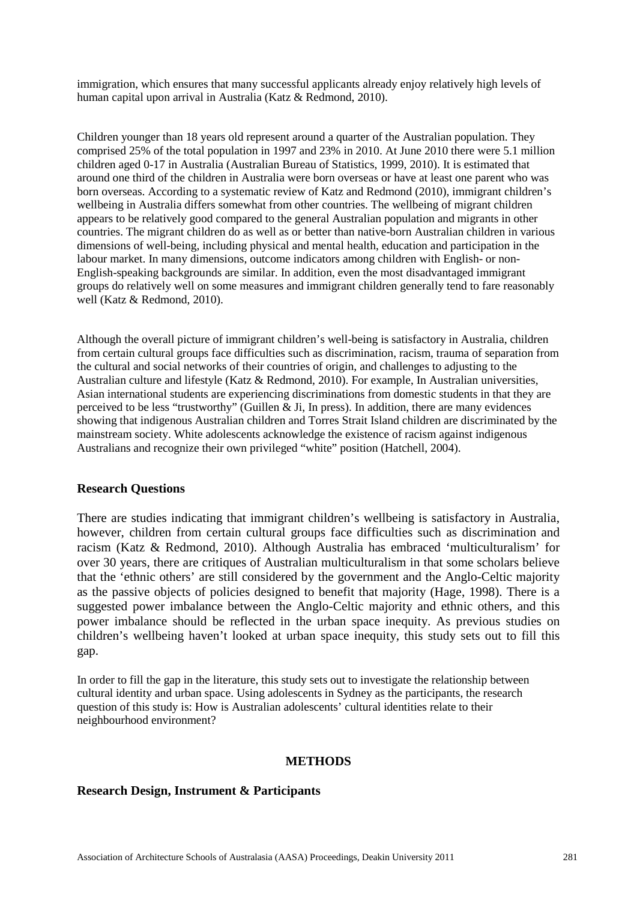immigration, which ensures that many successful applicants already enjoy relatively high levels of human capital upon arrival in Australia (Katz & Redmond, 2010).

Children younger than 18 years old represent around a quarter of the Australian population. They comprised 25% of the total population in 1997 and 23% in 2010. At June 2010 there were 5.1 million children aged 0-17 in Australia (Australian Bureau of Statistics, 1999, 2010). It is estimated that around one third of the children in Australia were born overseas or have at least one parent who was born overseas. According to a systematic review of Katz and Redmond (2010), immigrant children's wellbeing in Australia differs somewhat from other countries. The wellbeing of migrant children appears to be relatively good compared to the general Australian population and migrants in other countries. The migrant children do as well as or better than native-born Australian children in various dimensions of well-being, including physical and mental health, education and participation in the labour market. In many dimensions, outcome indicators among children with English- or non-English-speaking backgrounds are similar. In addition, even the most disadvantaged immigrant groups do relatively well on some measures and immigrant children generally tend to fare reasonably well (Katz & Redmond, 2010).

Although the overall picture of immigrant children's well-being is satisfactory in Australia, children from certain cultural groups face difficulties such as discrimination, racism, trauma of separation from the cultural and social networks of their countries of origin, and challenges to adjusting to the Australian culture and lifestyle (Katz & Redmond, 2010). For example, In Australian universities, Asian international students are experiencing discriminations from domestic students in that they are perceived to be less "trustworthy" (Guillen  $\&$  Ji, In press). In addition, there are many evidences showing that indigenous Australian children and Torres Strait Island children are discriminated by the mainstream society. White adolescents acknowledge the existence of racism against indigenous Australians and recognize their own privileged "white" position (Hatchell, 2004).

## **Research Questions**

There are studies indicating that immigrant children's wellbeing is satisfactory in Australia, however, children from certain cultural groups face difficulties such as discrimination and racism (Katz & Redmond, 2010). Although Australia has embraced 'multiculturalism' for over 30 years, there are critiques of Australian multiculturalism in that some scholars believe that the 'ethnic others' are still considered by the government and the Anglo-Celtic majority as the passive objects of policies designed to benefit that majority (Hage, 1998). There is a suggested power imbalance between the Anglo-Celtic majority and ethnic others, and this power imbalance should be reflected in the urban space inequity. As previous studies on children's wellbeing haven't looked at urban space inequity, this study sets out to fill this gap.

In order to fill the gap in the literature, this study sets out to investigate the relationship between cultural identity and urban space. Using adolescents in Sydney as the participants, the research question of this study is: How is Australian adolescents' cultural identities relate to their neighbourhood environment?

#### **METHODS**

#### **Research Design, Instrument & Participants**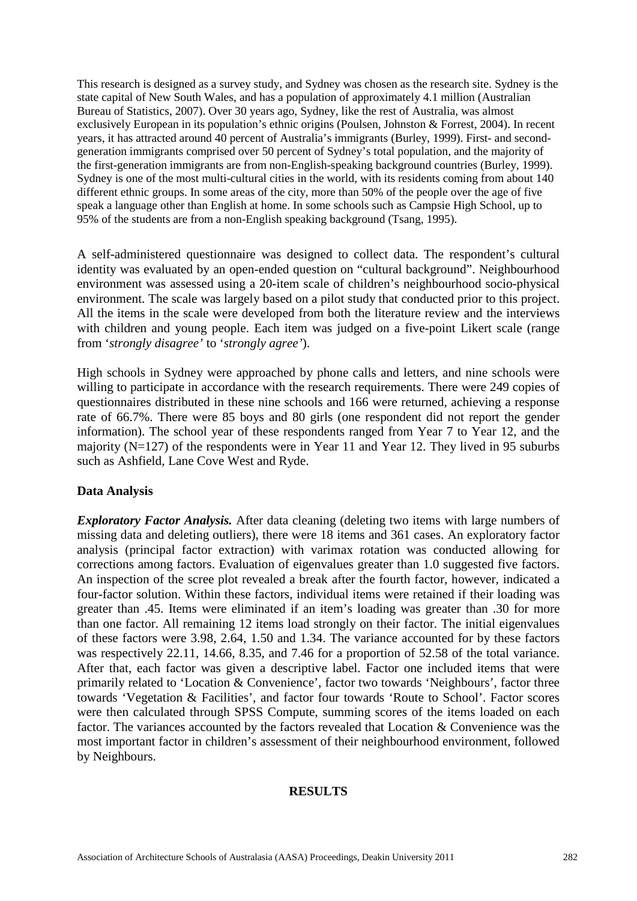This research is designed as a survey study, and Sydney was chosen as the research site. Sydney is the state capital of New South Wales, and has a population of approximately 4.1 million (Australian Bureau of Statistics, 2007). Over 30 years ago, Sydney, like the rest of Australia, was almost exclusively European in its population's ethnic origins (Poulsen, Johnston & Forrest, 2004). In recent years, it has attracted around 40 percent of Australia's immigrants (Burley, 1999). First- and secondgeneration immigrants comprised over 50 percent of Sydney's total population, and the majority of the first-generation immigrants are from non-English-speaking background countries (Burley, 1999). Sydney is one of the most multi-cultural cities in the world, with its residents coming from about 140 different ethnic groups. In some areas of the city, more than 50% of the people over the age of five speak a language other than English at home. In some schools such as Campsie High School, up to 95% of the students are from a non-English speaking background (Tsang, 1995).

A self-administered questionnaire was designed to collect data. The respondent's cultural identity was evaluated by an open-ended question on "cultural background". Neighbourhood environment was assessed using a 20-item scale of children's neighbourhood socio-physical environment. The scale was largely based on a pilot study that conducted prior to this project. All the items in the scale were developed from both the literature review and the interviews with children and young people. Each item was judged on a five-point Likert scale (range from '*strongly disagree'* to '*strongly agree'*).

High schools in Sydney were approached by phone calls and letters, and nine schools were willing to participate in accordance with the research requirements. There were 249 copies of questionnaires distributed in these nine schools and 166 were returned, achieving a response rate of 66.7%. There were 85 boys and 80 girls (one respondent did not report the gender information). The school year of these respondents ranged from Year 7 to Year 12, and the majority (N=127) of the respondents were in Year 11 and Year 12. They lived in 95 suburbs such as Ashfield, Lane Cove West and Ryde.

## **Data Analysis**

*Exploratory Factor Analysis.* After data cleaning (deleting two items with large numbers of missing data and deleting outliers), there were 18 items and 361 cases. An exploratory factor analysis (principal factor extraction) with varimax rotation was conducted allowing for corrections among factors. Evaluation of eigenvalues greater than 1.0 suggested five factors. An inspection of the scree plot revealed a break after the fourth factor, however, indicated a four-factor solution. Within these factors, individual items were retained if their loading was greater than .45. Items were eliminated if an item's loading was greater than .30 for more than one factor. All remaining 12 items load strongly on their factor. The initial eigenvalues of these factors were 3.98, 2.64, 1.50 and 1.34. The variance accounted for by these factors was respectively 22.11, 14.66, 8.35, and 7.46 for a proportion of 52.58 of the total variance. After that, each factor was given a descriptive label. Factor one included items that were primarily related to 'Location & Convenience', factor two towards 'Neighbours', factor three towards 'Vegetation & Facilities', and factor four towards 'Route to School'. Factor scores were then calculated through SPSS Compute, summing scores of the items loaded on each factor. The variances accounted by the factors revealed that Location & Convenience was the most important factor in children's assessment of their neighbourhood environment, followed by Neighbours.

#### **RESULTS**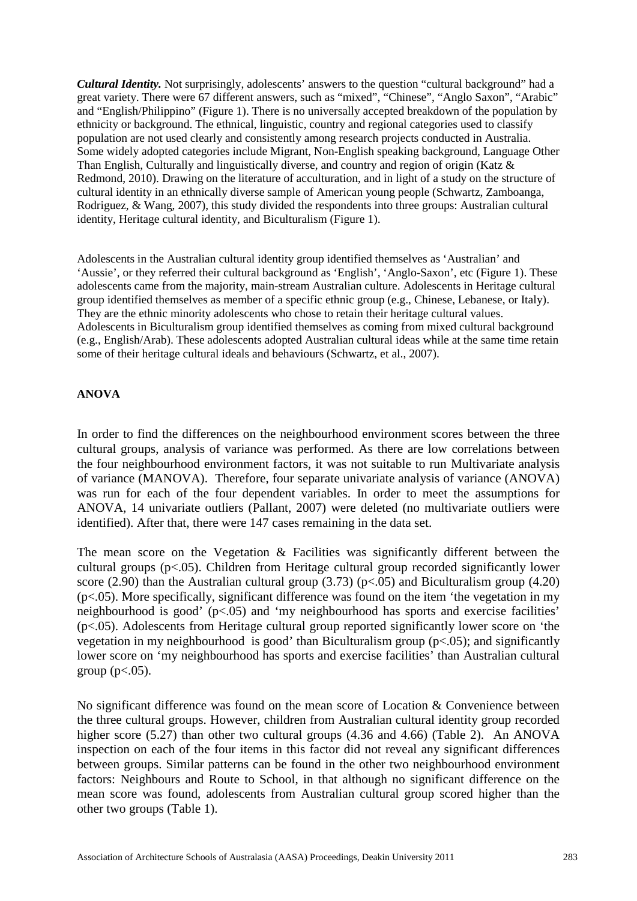*Cultural Identity.* Not surprisingly, adolescents' answers to the question "cultural background" had a great variety. There were 67 different answers, such as "mixed", "Chinese", "Anglo Saxon", "Arabic" and "English/Philippino" (Figure 1). There is no universally accepted breakdown of the population by ethnicity or background. The ethnical, linguistic, country and regional categories used to classify population are not used clearly and consistently among research projects conducted in Australia. Some widely adopted categories include Migrant, Non-English speaking background, Language Other Than English, Culturally and linguistically diverse, and country and region of origin (Katz & Redmond, 2010). Drawing on the literature of acculturation, and in light of a study on the structure of cultural identity in an ethnically diverse sample of American young people (Schwartz, Zamboanga, Rodriguez, & Wang, 2007), this study divided the respondents into three groups: Australian cultural identity, Heritage cultural identity, and Biculturalism (Figure 1).

Adolescents in the Australian cultural identity group identified themselves as 'Australian' and 'Aussie', or they referred their cultural background as 'English', 'Anglo-Saxon', etc (Figure 1). These adolescents came from the majority, main-stream Australian culture. Adolescents in Heritage cultural group identified themselves as member of a specific ethnic group (e.g., Chinese, Lebanese, or Italy). They are the ethnic minority adolescents who chose to retain their heritage cultural values. Adolescents in Biculturalism group identified themselves as coming from mixed cultural background (e.g., English/Arab). These adolescents adopted Australian cultural ideas while at the same time retain some of their heritage cultural ideals and behaviours (Schwartz, et al., 2007).

## **ANOVA**

In order to find the differences on the neighbourhood environment scores between the three cultural groups, analysis of variance was performed. As there are low correlations between the four neighbourhood environment factors, it was not suitable to run Multivariate analysis of variance (MANOVA). Therefore, four separate univariate analysis of variance (ANOVA) was run for each of the four dependent variables. In order to meet the assumptions for ANOVA, 14 univariate outliers (Pallant, 2007) were deleted (no multivariate outliers were identified). After that, there were 147 cases remaining in the data set.

The mean score on the Vegetation & Facilities was significantly different between the cultural groups (p<.05). Children from Heritage cultural group recorded significantly lower score (2.90) than the Australian cultural group (3.73) ( $p<0.05$ ) and Biculturalism group (4.20)  $(p<.05)$ . More specifically, significant difference was found on the item 'the vegetation in my neighbourhood is good' (p<.05) and 'my neighbourhood has sports and exercise facilities' (p<.05). Adolescents from Heritage cultural group reported significantly lower score on 'the vegetation in my neighbourhood is good' than Biculturalism group  $(p<.05)$ ; and significantly lower score on 'my neighbourhood has sports and exercise facilities' than Australian cultural group ( $p<.05$ ).

No significant difference was found on the mean score of Location & Convenience between the three cultural groups. However, children from Australian cultural identity group recorded higher score (5.27) than other two cultural groups (4.36 and 4.66) (Table 2). An ANOVA inspection on each of the four items in this factor did not reveal any significant differences between groups. Similar patterns can be found in the other two neighbourhood environment factors: Neighbours and Route to School, in that although no significant difference on the mean score was found, adolescents from Australian cultural group scored higher than the other two groups (Table 1).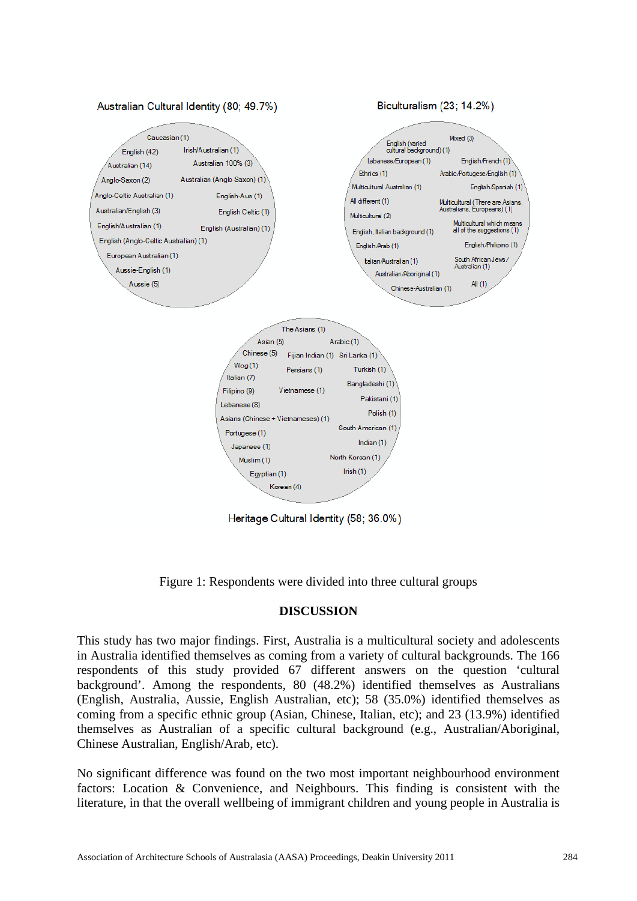

Heritage Cultural Identity (58; 36.0%)

Figure 1: Respondents were divided into three cultural groups

## **DISCUSSION**

This study has two major findings. First, Australia is a multicultural society and adolescents in Australia identified themselves as coming from a variety of cultural backgrounds. The 166 respondents of this study provided 67 different answers on the question 'cultural background'. Among the respondents, 80 (48.2%) identified themselves as Australians (English, Australia, Aussie, English Australian, etc); 58 (35.0%) identified themselves as coming from a specific ethnic group (Asian, Chinese, Italian, etc); and 23 (13.9%) identified themselves as Australian of a specific cultural background (e.g., Australian/Aboriginal, Chinese Australian, English/Arab, etc).

No significant difference was found on the two most important neighbourhood environment factors: Location & Convenience, and Neighbours. This finding is consistent with the literature, in that the overall wellbeing of immigrant children and young people in Australia is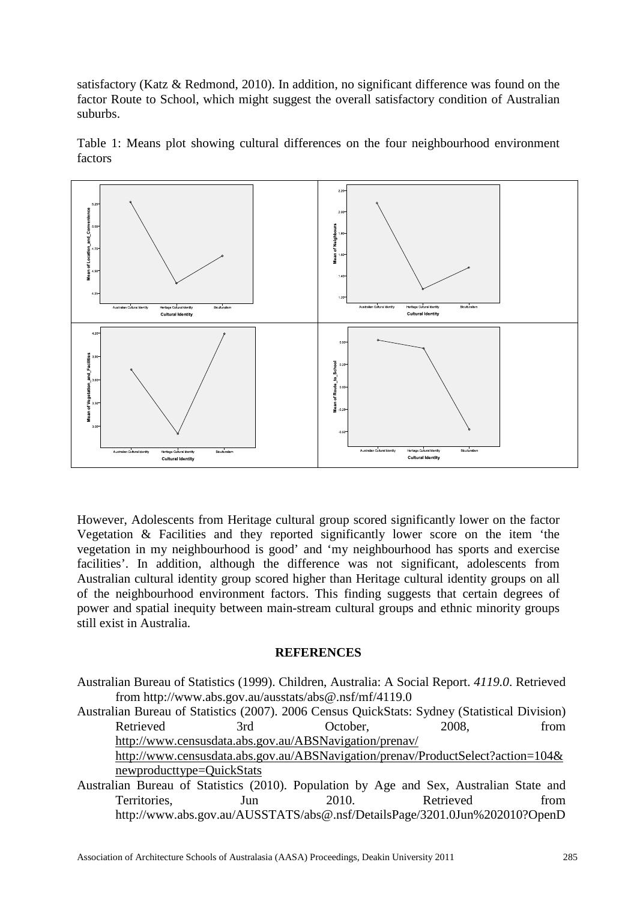satisfactory (Katz & Redmond, 2010). In addition, no significant difference was found on the factor Route to School, which might suggest the overall satisfactory condition of Australian suburbs.



Table 1: Means plot showing cultural differences on the four neighbourhood environment factors

However, Adolescents from Heritage cultural group scored significantly lower on the factor Vegetation & Facilities and they reported significantly lower score on the item 'the vegetation in my neighbourhood is good' and 'my neighbourhood has sports and exercise facilities'. In addition, although the difference was not significant, adolescents from Australian cultural identity group scored higher than Heritage cultural identity groups on all of the neighbourhood environment factors. This finding suggests that certain degrees of power and spatial inequity between main-stream cultural groups and ethnic minority groups still exist in Australia.

#### **REFERENCES**

Australian Bureau of Statistics (1999). Children, Australia: A Social Report. *4119.0*. Retrieved from http://www.abs.gov.au/ausstats/abs@.nsf/mf/4119.0

Australian Bureau of Statistics (2007). 2006 Census QuickStats: Sydney (Statistical Division) Retrieved 3rd October, 2008, from http://www.censusdata.abs.gov.au/ABSNavigation/prenav/

http://www.censusdata.abs.gov.au/ABSNavigation/prenav/ProductSelect?action=104& newproducttype=QuickStats

Australian Bureau of Statistics (2010). Population by Age and Sex, Australian State and Territories, Jun 2010. Retrieved from http://www.abs.gov.au/AUSSTATS/abs@.nsf/DetailsPage/3201.0Jun%202010?OpenD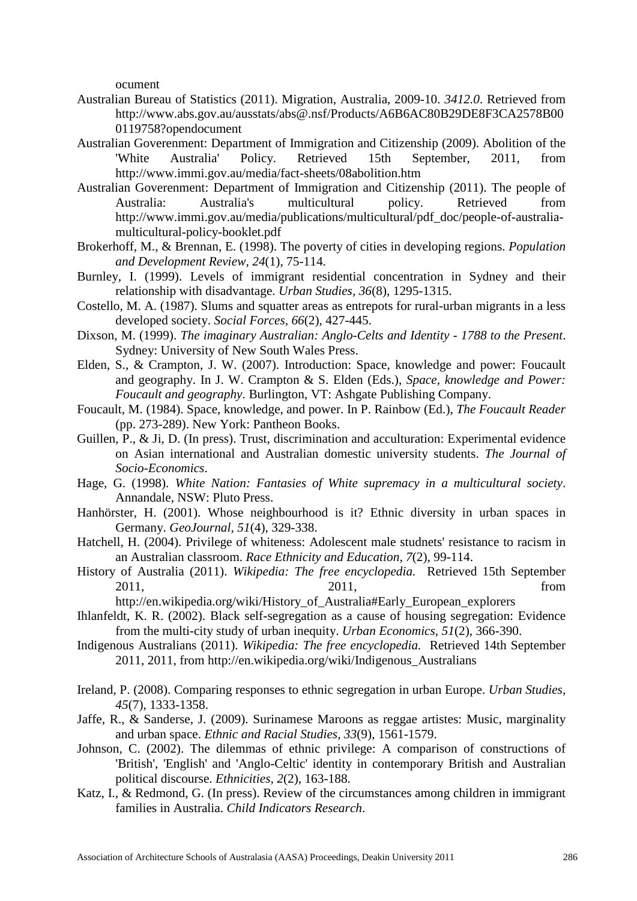ocument

- Australian Bureau of Statistics (2011). Migration, Australia, 2009-10. *3412.0*. Retrieved from http://www.abs.gov.au/ausstats/abs@.nsf/Products/A6B6AC80B29DE8F3CA2578B00 0119758?opendocument
- Australian Goverenment: Department of Immigration and Citizenship (2009). Abolition of the 'White Australia' Policy. Retrieved 15th September, 2011, from http://www.immi.gov.au/media/fact-sheets/08abolition.htm
- Australian Goverenment: Department of Immigration and Citizenship (2011). The people of Australia: Australia's multicultural policy. Retrieved from http://www.immi.gov.au/media/publications/multicultural/pdf\_doc/people-of-australiamulticultural-policy-booklet.pdf
- Brokerhoff, M., & Brennan, E. (1998). The poverty of cities in developing regions. *Population and Development Review, 24*(1), 75-114.
- Burnley, I. (1999). Levels of immigrant residential concentration in Sydney and their relationship with disadvantage. *Urban Studies, 36*(8), 1295-1315.
- Costello, M. A. (1987). Slums and squatter areas as entrepots for rural-urban migrants in a less developed society. *Social Forces, 66*(2), 427-445.
- Dixson, M. (1999). *The imaginary Australian: Anglo-Celts and Identity - 1788 to the Present*. Sydney: University of New South Wales Press.
- Elden, S., & Crampton, J. W. (2007). Introduction: Space, knowledge and power: Foucault and geography. In J. W. Crampton & S. Elden (Eds.), *Space, knowledge and Power: Foucault and geography*. Burlington, VT: Ashgate Publishing Company.
- Foucault, M. (1984). Space, knowledge, and power. In P. Rainbow (Ed.), *The Foucault Reader* (pp. 273-289). New York: Pantheon Books.
- Guillen, P., & Ji, D. (In press). Trust, discrimination and acculturation: Experimental evidence on Asian international and Australian domestic university students. *The Journal of Socio-Economics*.
- Hage, G. (1998). *White Nation: Fantasies of White supremacy in a multicultural society*. Annandale, NSW: Pluto Press.
- Hanhörster, H. (2001). Whose neighbourhood is it? Ethnic diversity in urban spaces in Germany. *GeoJournal, 51*(4), 329-338.
- Hatchell, H. (2004). Privilege of whiteness: Adolescent male studnets' resistance to racism in an Australian classroom. *Race Ethnicity and Education, 7*(2), 99-114.
- History of Australia (2011). *Wikipedia: The free encyclopedia.* Retrieved 15th September 2011, 2011, from

http://en.wikipedia.org/wiki/History\_of\_Australia#Early\_European\_explorers

- Ihlanfeldt, K. R. (2002). Black self-segregation as a cause of housing segregation: Evidence from the multi-city study of urban inequity. *Urban Economics, 51*(2), 366-390.
- Indigenous Australians (2011). *Wikipedia: The free encyclopedia.* Retrieved 14th September 2011, 2011, from http://en.wikipedia.org/wiki/Indigenous\_Australians
- Ireland, P. (2008). Comparing responses to ethnic segregation in urban Europe. *Urban Studies, 45*(7), 1333-1358.
- Jaffe, R., & Sanderse, J. (2009). Surinamese Maroons as reggae artistes: Music, marginality and urban space. *Ethnic and Racial Studies, 33*(9), 1561-1579.
- Johnson, C. (2002). The dilemmas of ethnic privilege: A comparison of constructions of 'British', 'English' and 'Anglo-Celtic' identity in contemporary British and Australian political discourse. *Ethnicities, 2*(2), 163-188.
- Katz, I., & Redmond, G. (In press). Review of the circumstances among children in immigrant families in Australia. *Child Indicators Research*.